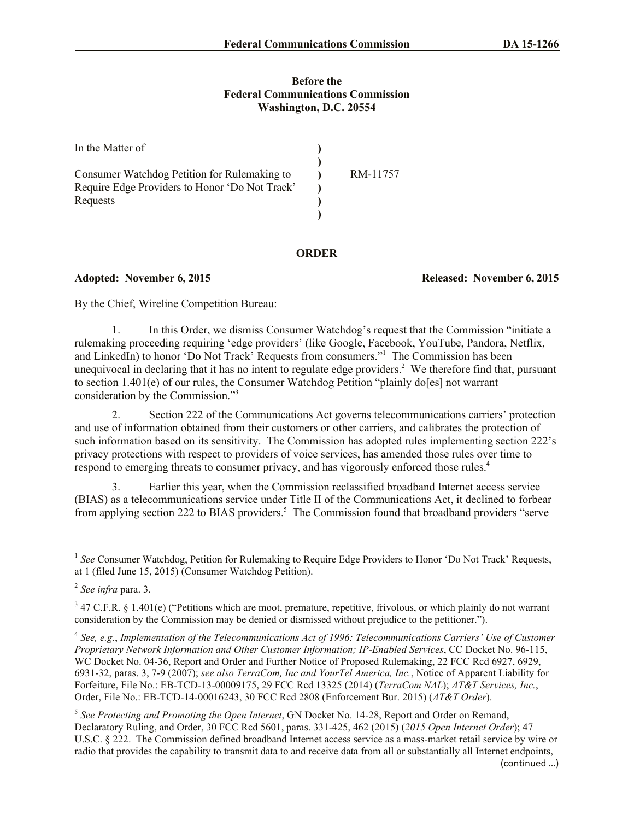## **Before the Federal Communications Commission Washington, D.C. 20554**

| In the Matter of                               |          |
|------------------------------------------------|----------|
| Consumer Watchdog Petition for Rulemaking to   | RM-11757 |
| Require Edge Providers to Honor 'Do Not Track' |          |
| Requests                                       |          |
|                                                |          |

## **ORDER**

**Adopted: November 6, 2015 Released: November 6, 2015**

By the Chief, Wireline Competition Bureau:

1. In this Order, we dismiss Consumer Watchdog's request that the Commission "initiate a rulemaking proceeding requiring 'edge providers' (like Google, Facebook, YouTube, Pandora, Netflix, and LinkedIn) to honor 'Do Not Track' Requests from consumers." <sup>1</sup> The Commission has been unequivocal in declaring that it has no intent to regulate edge providers.<sup>2</sup> We therefore find that, pursuant to section 1.401(e) of our rules, the Consumer Watchdog Petition "plainly do[es] not warrant consideration by the Commission."<sup>3</sup>

2. Section 222 of the Communications Act governs telecommunications carriers' protection and use of information obtained from their customers or other carriers, and calibrates the protection of such information based on its sensitivity. The Commission has adopted rules implementing section 222's privacy protections with respect to providers of voice services, has amended those rules over time to respond to emerging threats to consumer privacy, and has vigorously enforced those rules.<sup>4</sup>

3. Earlier this year, when the Commission reclassified broadband Internet access service (BIAS) as a telecommunications service under Title II of the Communications Act, it declined to forbear from applying section 222 to BIAS providers.<sup>5</sup> The Commission found that broadband providers "serve

<sup>&</sup>lt;sup>1</sup> See Consumer Watchdog, Petition for Rulemaking to Require Edge Providers to Honor 'Do Not Track' Requests, at 1 (filed June 15, 2015) (Consumer Watchdog Petition).

<sup>2</sup> *See infra* para. 3.

 $3$  47 C.F.R. § 1.401(e) ("Petitions which are moot, premature, repetitive, frivolous, or which plainly do not warrant consideration by the Commission may be denied or dismissed without prejudice to the petitioner.").

<sup>4</sup> *See, e.g.*, *Implementation of the Telecommunications Act of 1996: Telecommunications Carriers' Use of Customer Proprietary Network Information and Other Customer Information; IP-Enabled Services*, CC Docket No. 96-115, WC Docket No. 04-36, Report and Order and Further Notice of Proposed Rulemaking, 22 FCC Rcd 6927, 6929, 6931-32, paras. 3, 7-9 (2007); *see also TerraCom, Inc and YourTel America, Inc.*, Notice of Apparent Liability for Forfeiture, File No.: EB-TCD-13-00009175, 29 FCC Rcd 13325 (2014) (*TerraCom NAL*); *AT&T Services, Inc.*, Order, File No.: EB-TCD-14-00016243, 30 FCC Rcd 2808 (Enforcement Bur. 2015) (*AT&T Order*).

<sup>5</sup> *See Protecting and Promoting the Open Internet*, GN Docket No. 14-28, Report and Order on Remand, Declaratory Ruling, and Order, 30 FCC Rcd 5601, paras. 331-425, 462 (2015) (*2015 Open Internet Order*); 47 U.S.C. § 222. The Commission defined broadband Internet access service as a mass-market retail service by wire or radio that provides the capability to transmit data to and receive data from all or substantially all Internet endpoints,